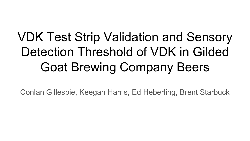# VDK Test Strip Validation and Sensory Detection Threshold of VDK in Gilded Goat Brewing Company Beers

Conlan Gillespie, Keegan Harris, Ed Heberling, Brent Starbuck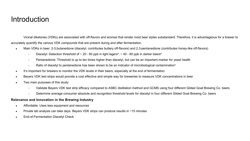#### Introduction

Vicinal diketones (VDKs) are associated with off-flavors and aromas that render most beer styles substandard. Therefore, it is advantageous for a brewer to accurately quantify the various VDK compounds that are present during and after fermentation.

- Main VDKs in beer: 2-3,butanedione (diacetyl, contributes buttery off-flavors) and 2,3-pentanedione (contributes honey-like off-flavors)
	- $\circ$  Diacetyl: Detection threshold of  $\sim$  20 60 ppb in light lagers<sup>4</sup>,  $\sim$  40 80 ppb in darker beers<sup>4</sup>
	- Pentanedione: Threshold is up to ten times higher than diacetyl, but can be an important marker for yeast health
	- $\circ$  Ratio of diacetyl to pentanedione has been shown to be an indicator of microbiological contamination<sup>1</sup>
- It's important for brewers to monitor the VDK levels in their beers, especially at the end of fermentation
- Beyers VDK test strips would provide a cost effective and simple way for breweries to measure VDK concentrations in beer
- Two main purposes of this study:
	- Validate Beyers VDK test strip efficacy compared to ASBC distillation method and GCMS using four different Gilded Goat Brewing Co. beers
	- Determine average consumer absolute and recognition threshold levels for diacetyl in four different Gilded Goat Brewing Co. beers

#### **Relevance and Innovation in the Brewing Industry**

- Affordable. Uses less equipment and resources
- Private lab analysis can take days. Beyers VDK strips can produce results in  $~15$  minutes
- **End-of-Fermentation Diacetyl Check**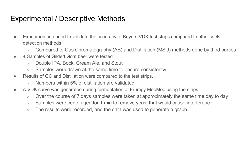### Experimental / Descriptive Methods

- Experiment intended to validate the accuracy of Beyers VDK test strips compared to other VDK detection methods
	- Compared to Gas Chromatography (AB) and Distillation (MSU) methods done by third parties
- 4 Samples of Gilded Goat beer were tested
	- Double IPA, Bock, Cream Ale, and Stout
	- Samples were drawn at the same time to ensure consistency
- Results of GC and Distillation were compared to the test strips.
	- $\circ$  Numbers within 5% of distillation are validated.
- A VDK curve was generated during fermentation of Frumpy MooMoo using the strips.
	- Over the course of 7 days samples were taken at approximately the same time day to day
	- Samples were centrifuged for 1 min to remove yeast that would cause interference
	- $\circ$  The results were recorded, and the data was used to generate a graph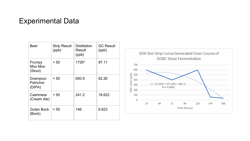#### Experimental Data

| <b>Beer</b>                     | <b>Strip Result</b><br>(ppb) | <b>Distillation</b><br>Result<br>(ppb) | <b>GC Result</b><br>(ppb) |
|---------------------------------|------------------------------|----------------------------------------|---------------------------|
| Frumpy<br>Moo Moo<br>(Stout)    | < 50                         | 1726*                                  | 97.11                     |
| Downpour<br>Petrichor<br>(DIPA) | < 50                         | 650.9                                  | 62.26                     |
| Cashmere<br>(Cream Ale)         | < 50                         | 241.2                                  | 18.622                    |
| Guten Bock<br>(Bock)            | < 50                         | 146                                    | 6.823                     |

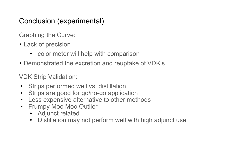#### Conclusion (experimental)

Graphing the Curve:

- Lack of precision
	- colorimeter will help with comparison
- Demonstrated the excretion and reuptake of VDK's

VDK Strip Validation:

- Strips performed well vs. distillation
- Strips are good for go/no-go application
- Less expensive alternative to other methods
- Frumpy Moo Moo Outlier
	- Adjunct related
	- Distillation may not perform well with high adjunct use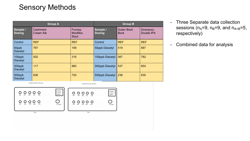## Sensory Methods

| <b>Group A</b>            |                       |                                  | <b>Group B</b>            |                                  |                        |
|---------------------------|-----------------------|----------------------------------|---------------------------|----------------------------------|------------------------|
| Sample /<br><b>Dosing</b> | Cashmere<br>Cream Ale | Frumpy<br><b>MooMoo</b><br>Stout | Sample /<br><b>Dosing</b> | <b>Guten Bock</b><br><b>Bock</b> | Downpour<br>Double IPA |
| Control                   | <b>REF</b>            | <b>REF</b>                       | Control                   | <b>REF</b>                       | <b>REF</b>             |
| 50ppb<br><b>Diacetyl</b>  | 797                   | 169                              | 50ppb Diacetyl            | 519                              | 887                    |
| 100ppb<br><b>Diacetyl</b> | 002                   | 316                              | 100ppb Diacetyl           | 067                              | 782                    |
| 300ppb<br><b>Diacetyl</b> | 117                   | 960                              | 300ppb Diacetyl           | 537                              | 854                    |
| 500ppb<br><b>Diacetyl</b> | 836                   | 720                              | 500ppb Diacetyl           | 238                              | 630                    |

- Three Separate data collection sessions ( $n_A=9$ ,  $n_B=9$ , and  $n_{A+B}=5$ , respectively)
- Combined data for analysis

Sample setup for Group A

Sample setup for Group A

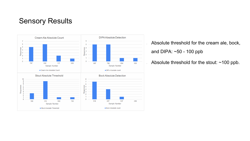#### Sensory Results



• Absolute threshold for the cream ale, bock, and DIPA: ~50 - 100 ppb

Absolute threshold for the stout: ~100 ppb.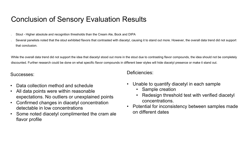### Conclusion of Sensory Evaluation Results

- Stout Higher absolute and recognition thresholds than the Cream Ale, Bock and DIPA
- Several panelists noted that the stout exhibited flavors that contrasted with diacetyl, causing it to stand out more. However, the overall data trend did not support that conclusion.

While the overall data trend did not support the idea that diacetyl stood out more in the stout due to contrasting flavor compounds, the idea should not be completely discounted. Further research could be done on what specific flavor compounds in different beer styles will hide diacetyl presence or make it stand out.

#### Successes:

- Data collection method and schedule
- All data points were within reasonable expectations. No outliers or unexplained points
- Confirmed changes in diacetyl concentration detectable in low concentrations
- Some noted diacetyl complimented the cram ale flavor profile

Deficiencies:

- Unable to quantify diacetyl in each sample
	- Sample creation
	- Redesign threshold test with verified diacetyl concentrations.
- Potential for inconsistency between samples made on different dates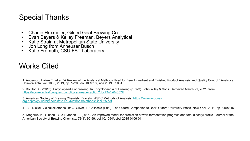#### Special Thanks

- 
- [Charlie Hoxmeier, Gilded Goat Brewing Co.](https://www-asbcnet-org.ezproxy2.library.colostate.edu/Methods/Methods/Beer-25.pdf) Evan Beyers & Kelley Freeman, Beyers Analytical Katie Strain at Metropolitan State University Jon Long from Anheuser Busch Katie Fromuth, CSU FST Laboratory
- 
- 
- 

#### Works Cited

1. Anderson, Hailee E., et al. "A Review of the Analytical Methods Used for Beer Ingredient and Fin<br>Chimica Acta, vol. 1085, 2019, pp. 1–20., doi:10.1016/j.aca.2019.07.061.

2. Boulton, C. (2013). Encyclopaedia of brewing. In Encyclopaedia of Brewing (p. 623). John Wiley https://ebookcentral.proquest.com/lib/csu/reader.action?docID=1204057#

3. American Society of Brewing Chemists. Diacetyl. ASBC Methods of Analysis. https://www-asbcnetygg.ezproxy2.library.colostate.edu/Methods/Methods/Beer-25.pdf.

4. J.S. Nickel, Vicinal diketones, in: G. Oliver, T. Colicchio (Eds.), The Oxford Companion to Beer, Oxford

5. Krogerus, K., Gibson, B., & Hytönen, E. (2015). An improved model for prediction of wort ferment American Society of Brewing Chemists, 73(1), 90-99. doi:10.1094/asbcj-2015-0106-01